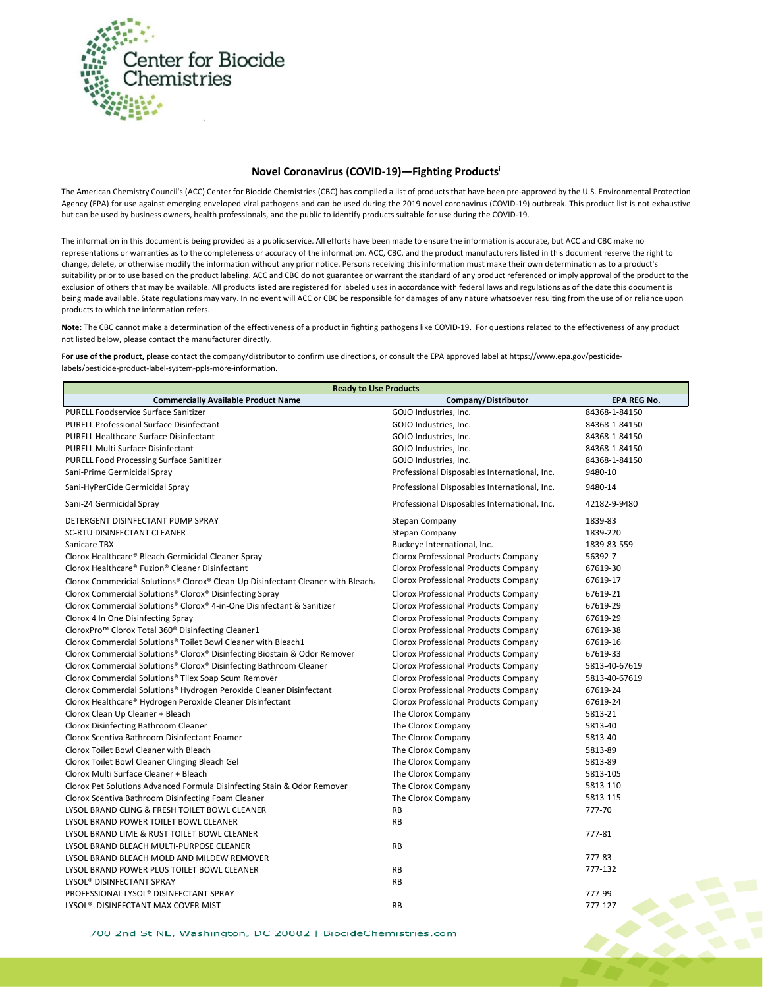

## **Novel Coronavirus (COVID-19)—Fighting Products<sup>i</sup>**

The American Chemistry Council's (ACC) Center for Biocide Chemistries (CBC) has compiled a list of products that have been pre-approved by the U.S. Environmental Protection Agency (EPA) for use against emerging enveloped viral pathogens and can be used during the 2019 novel coronavirus (COVID-19) outbreak. This product list is not exhaustive but can be used by business owners, health professionals, and the public to identify products suitable for use during the COVID-19.

The information in this document is being provided as a public service. All efforts have been made to ensure the information is accurate, but ACC and CBC make no representations or warranties as to the completeness or accuracy of the information. ACC, CBC, and the product manufacturers listed in this document reserve the right to change, delete, or otherwise modify the information without any prior notice. Persons receiving this information must make their own determination as to a product's suitability prior to use based on the product labeling. ACC and CBC do not guarantee or warrant the standard of any product referenced or imply approval of the product to the exclusion of others that may be available. All products listed are registered for labeled uses in accordance with federal laws and regulations as of the date this document is being made available. State regulations may vary. In no event will ACC or CBC be responsible for damages of any nature whatsoever resulting from the use of or reliance upon products to which the information refers.

**Note:** The CBC cannot make a determination of the effectiveness of a product in fighting pathogens like COVID-19. For questions related to the effectiveness of any product not listed below, please contact the manufacturer directly.

**For use of the product,** please contact the company/distributor to confirm use directions, or consult the EPA approved label at https://www.epa.gov/pesticidelabels/pesticide-product-label-system-ppls-more-information.

| <b>Ready to Use Products</b>                                                     |                                              |                    |  |  |
|----------------------------------------------------------------------------------|----------------------------------------------|--------------------|--|--|
| <b>Commercially Available Product Name</b>                                       | Company/Distributor                          | <b>EPA REG No.</b> |  |  |
| PURELL Foodservice Surface Sanitizer                                             | GOJO Industries, Inc.                        | 84368-1-84150      |  |  |
| <b>PURELL Professional Surface Disinfectant</b>                                  | GOJO Industries, Inc.                        | 84368-1-84150      |  |  |
| <b>PURELL Healthcare Surface Disinfectant</b>                                    | GOJO Industries, Inc.                        | 84368-1-84150      |  |  |
| <b>PURELL Multi Surface Disinfectant</b>                                         | GOJO Industries, Inc.                        | 84368-1-84150      |  |  |
| <b>PURELL Food Processing Surface Sanitizer</b>                                  | GOJO Industries, Inc.                        | 84368-1-84150      |  |  |
| Sani-Prime Germicidal Spray                                                      | Professional Disposables International, Inc. | 9480-10            |  |  |
| Sani-HyPerCide Germicidal Spray                                                  | Professional Disposables International, Inc. | 9480-14            |  |  |
| Sani-24 Germicidal Spray                                                         | Professional Disposables International, Inc. | 42182-9-9480       |  |  |
| DETERGENT DISINFECTANT PUMP SPRAY                                                | Stepan Company                               | 1839-83            |  |  |
| <b>SC-RTU DISINFECTANT CLEANER</b>                                               | <b>Stepan Company</b>                        | 1839-220           |  |  |
| Sanicare TBX                                                                     | Buckeye International, Inc.                  | 1839-83-559        |  |  |
| Clorox Healthcare® Bleach Germicidal Cleaner Spray                               | <b>Clorox Professional Products Company</b>  | 56392-7            |  |  |
| Clorox Healthcare® Fuzion® Cleaner Disinfectant                                  | Clorox Professional Products Company         | 67619-30           |  |  |
| Clorox Commericial Solutions® Clorox® Clean-Up Disinfectant Cleaner with Bleach1 | <b>Clorox Professional Products Company</b>  | 67619-17           |  |  |
| Clorox Commercial Solutions® Clorox® Disinfecting Spray                          | <b>Clorox Professional Products Company</b>  | 67619-21           |  |  |
| Clorox Commercial Solutions® Clorox® 4-in-One Disinfectant & Sanitizer           | <b>Clorox Professional Products Company</b>  | 67619-29           |  |  |
| Clorox 4 In One Disinfecting Spray                                               | <b>Clorox Professional Products Company</b>  | 67619-29           |  |  |
| CloroxPro <sup>™</sup> Clorox Total 360 <sup>®</sup> Disinfecting Cleaner1       | <b>Clorox Professional Products Company</b>  | 67619-38           |  |  |
| Clorox Commercial Solutions® Toilet Bowl Cleaner with Bleach1                    | <b>Clorox Professional Products Company</b>  | 67619-16           |  |  |
| Clorox Commercial Solutions® Clorox® Disinfecting Biostain & Odor Remover        | <b>Clorox Professional Products Company</b>  | 67619-33           |  |  |
| Clorox Commercial Solutions® Clorox® Disinfecting Bathroom Cleaner               | <b>Clorox Professional Products Company</b>  | 5813-40-67619      |  |  |
| Clorox Commercial Solutions® Tilex Soap Scum Remover                             | <b>Clorox Professional Products Company</b>  | 5813-40-67619      |  |  |
| Clorox Commercial Solutions® Hydrogen Peroxide Cleaner Disinfectant              | <b>Clorox Professional Products Company</b>  | 67619-24           |  |  |
| Clorox Healthcare® Hydrogen Peroxide Cleaner Disinfectant                        | <b>Clorox Professional Products Company</b>  | 67619-24           |  |  |
| Clorox Clean Up Cleaner + Bleach                                                 | The Clorox Company                           | 5813-21            |  |  |
| Clorox Disinfecting Bathroom Cleaner                                             | The Clorox Company                           | 5813-40            |  |  |
| Clorox Scentiva Bathroom Disinfectant Foamer                                     | The Clorox Company                           | 5813-40            |  |  |
| Clorox Toilet Bowl Cleaner with Bleach                                           | The Clorox Company                           | 5813-89            |  |  |
| Clorox Toilet Bowl Cleaner Clinging Bleach Gel                                   | The Clorox Company                           | 5813-89            |  |  |
| Clorox Multi Surface Cleaner + Bleach                                            | The Clorox Company                           | 5813-105           |  |  |
| Clorox Pet Solutions Advanced Formula Disinfecting Stain & Odor Remover          | The Clorox Company                           | 5813-110           |  |  |
| Clorox Scentiva Bathroom Disinfecting Foam Cleaner                               | The Clorox Company                           | 5813-115           |  |  |
| LYSOL BRAND CLING & FRESH TOILET BOWL CLEANER                                    | <b>RB</b>                                    | 777-70             |  |  |
| LYSOL BRAND POWER TOILET BOWL CLEANER                                            | <b>RB</b>                                    |                    |  |  |
| LYSOL BRAND LIME & RUST TOILET BOWL CLEANER                                      |                                              | 777-81             |  |  |
| LYSOL BRAND BLEACH MULTI-PURPOSE CLEANER                                         | <b>RB</b>                                    |                    |  |  |
| LYSOL BRAND BLEACH MOLD AND MILDEW REMOVER                                       |                                              | 777-83             |  |  |
| LYSOL BRAND POWER PLUS TOILET BOWL CLEANER                                       | <b>RB</b>                                    | 777-132            |  |  |
| LYSOL® DISINFECTANT SPRAY                                                        | <b>RB</b>                                    |                    |  |  |
| PROFESSIONAL LYSOL® DISINFECTANT SPRAY                                           |                                              | 777-99             |  |  |
| LYSOL <sup>®</sup> DISINEFCTANT MAX COVER MIST                                   | <b>RB</b>                                    | 777-127            |  |  |

700 2nd St NE, Washington, DC 20002 | BiocideChemistries.com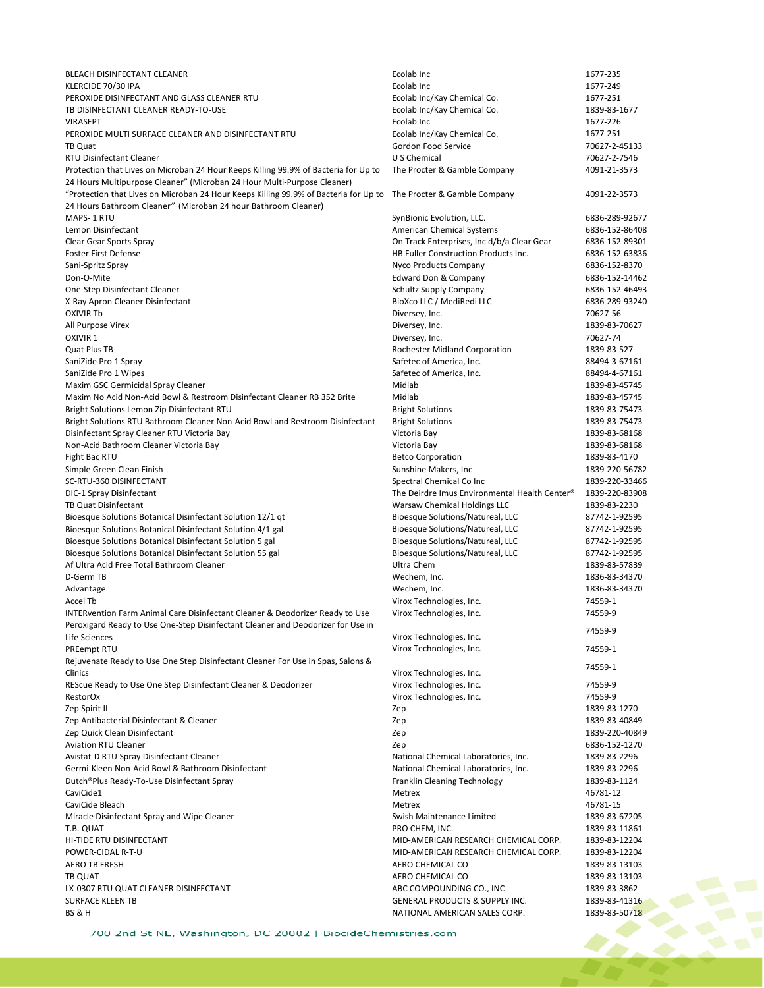BLEACH DISINFECTANT CLEANER Ecolab Inc 1677-235 KLERCIDE 70/30 IPA AND THE SERVER SERVER SERVER THE SERVER SERVER SERVER SERVER SERVER SERVER SERVER SERVER SE PEROXIDE DISINFECTANT AND GLASS CLEANER RTU<br>TRINSINFECTANT CLEANER READY-TO-LISE<br>Frolab Inc/Kay Chemical Co. 1839-83-1839-83-2 TB DISINFECTANT CLEANER READY-TO-USE Ecolab Inc/Kay Chemical Co. 1839-83-1677 viranse en la colab incompositor de la colab incompositor de la colab incompositor de la colab incompositor de la colab incompositor de la colab incompositor de la colab incompositor de la colab incompositor de la colab in PEROXIDE MULTI SURFACE CLEANER AND DISINFECTANT RTU<br>TB Quat discussed by Gordon Food Service and the control of the control of Gordon Food Service 30627-2-45133 RTU Disinfectant Cleaner Protection that Lives on Microban 24 Hour Keeps Killing 99.9% of Bacteria for Up to The Procter & Gamble Company 4091-21-3573 24 Hours Multipurpose Cleaner" (Microban 24 Hour Multi-Purpose Cleaner) "Protection that Lives on Microban 24 Hour Keeps Killing 99.9% of Bacteria for Up to The Procter & Gamble Company 4091-22-3573 24 Hours Bathroom Cleaner*"* (Microban 24 hour Bathroom Cleaner) Lemon Disinfectant American Chemical Systems 6836-152-86408 Clear Gear Sports Spray **Clear Spray Clear Space Space 2012** On Track Enterprises, Inc d/b/a Clear Gear 6836-152-89301<br>Foster First Defense 6836-152-63836 Sani-Spritz Spray 6836-152-8370<br>
Don-O-Mite 1978 Sand Don & Company 6836-152-14462<br>
Edward Don & Company 6836-152-14462 Don-O-Mite **Edward Don & Company** 6836-152-152-152-152-152-152-152-14462 **6836-152-14462** One-Step Disinfectant Cleaner National Cleaner Schultz Supply Company Company 6836-152-46493 X-Ray Apron Cleaner Disinfectant and BioXco LLC / MediRedi LLC 6836-289-93240 OXIVIR Tb Diversey, Inc. [70627-56](https://www3.epa.gov/pesticides/chem_search/ppls/070627-00056-20191216.pdf) All Purpose Virex 2008 2012 [1839-83-70627](https://www3.epa.gov/pesticides/chem_search/ppls/001839-00083-20180702.pdf) 2012 2022 2023 2024 2022 2023 2024 2022 2023 2024 2022 2023 2024 2022 OXIVIR 1 Diversey, Inc. 2006) 2[70627-74](https://www3.epa.gov/pesticides/chem_search/ppls/070627-00074-20191107.pdf) Quat Plus TB Rochester Midland Corporation 1839-83-527 SaniZide Pro 1 Spray Safetec of America, Inc. 688494-3-67161 SaniZide Pro 1 Wipes Safetec of America, Inc. 88494-4-67161 Maxim GSC Germicidal Spray Cleaner Midlab 1839-83-45745 Maxim No Acid Non-Acid Bowl & Restroom Disinfectant Cleaner RB 352 Brite Midlab 1839-83-45745<br>1839-83-75473 Bright Solutions 1839-83-75473 Pright Solutions Bright Solutions Lemon Zip Disinfectant RTU Bright Solutions RTU Bathroom Cleaner Non-Acid Bowl and Restroom Disinfectant Bright Solutions 1839-83-75473 Disinfectant Spray Cleaner RTU Victoria Bay Victoria Bay 1839-83-68168 Non-Acid Bathroom Cleaner Victoria Bay Victoria Bay 1839-83-68168 Fight Bac RTU and The Computer of the Betco Corporation and the Computer of the Betco Corporation and the 1839-83-4170 Simple Green Clean Finish Sunshine Makers, Inc 1839-220-56782 (Sunshine Makers, Inc 1839-220-56782 SC-RTU-360 DISINFECTANT Spectral Chemical Co Inc 1839-220-33466 DIC-1 Spray Disinfectant The Deirdre Imus Environmental Health Center® 1839-220-83908 TB Quat Disinfectant Warsaw Chemical Holdings LLC 1839-83-2230 Bioesque Solutions Botanical Disinfectant Solution 12/1 qt Bioesque Solutions/Natureal, LLC 87742-1-92595 Bioesque Solutions Botanical Disinfectant Solution 4/1 gal and Bioesque Solutions/Natureal, LLC 87742-1-92595<br>Bioesque Solutions Botanical Disinfectant Solution 5 gal and Bioesque Solutions/Natureal, LLC 87742-1-92595 Bioesque Solutions Botanical Disinfectant Solution 5 gal and Bioesque Solutions/Natureal, LLC 87742-1-92595<br>Bioesque Solutions Botanical Disinfectant Solution 55 gal and Bioesque Solutions/Natureal, LLC 87742-1-92595 Bioesque Solutions Botanical Disinfectant Solution 55 gal Bioesque Solutions/Natureal, LLC 87742-1-92595 Af Ultra Acid Free Total Bathroom Cleaner National Action of Cleaner Ultra Chem 1839-83-57839 1839-83-57839 D-Germ TB Wechem, Inc. 1836-83-34370 Advantage and the settlement of the Mechem, Inc. Advantage Mechem, Inc. 2008. 1836-83-34370 Accel Tb<br>14559-1 Virox Technologies, Inc.<br>14559-9 Virox Technologies, Inc. 74559-9 Virox Technologies, Inc. INTERvention Farm Animal Care Disinfectant Cleaner & Deodorizer Ready to Use Peroxigard Ready to Use One-Step Disinfectant Cleaner and Deodorizer for Use in refoxigato Ready to use one-step bisimeticant cleaner and beodorizer for use in Virox Technologies, Inc. 74559-9<br>Virox Technologies, Inc. PREempt RTU **PREEMPLE RTU CONTACT CONTACT CONTACT CONTACT CONTACT VIRGON CONTACT CONTACT CONTACT VIRGON CONTACT CONTACT CONTACT VIRGON CONTACT VIRGON CONTACT CONTACT CONTACT VIRGON CONTACT VIRGON CONTACT CONTACT VIRGON CON** Rejuvenate Ready to Use One Step Disinfectant Cleaner For Use in Spas, Salons & The United States we can be the Step Distribution of the United States of the United Step Distribution of the Distribution of the United Step Distribution of the Distribution of the Distribution of the Distribution of the REScue Ready to Use One Step Disinfectant Cleaner & Deodorizer Virox Technologies, Inc. RestorOx Virox Technologies, Inc. 74559-9 Zep Spirit II Zep 1839-83-1270 Zep Antibacterial Disinfectant & Cleaner **New 2-8 and 2008** 1839-83-40849 and 2008/2019 1839-83-40849 Zep Quick Clean Disinfectant Zep 1839-220-40849 Aviation RTU Cleaner **Zep** 6836-152-1270 Avistat-D RTU Spray Disinfectant Cleaner National Chemical Laboratories, Inc. 1839-83-2296 Germi-Kleen Non-Acid Bowl & Bathroom Disinfectant National Chemical Laboratories, Inc. 1839-83-2296<br>1839-83-1124 Franklin Cleaning Technology 1839-83-1124 Dutch®Plus Ready-To-Use Disinfectant Spray Franklin Cleaning Technology Franklin Cleaning Technology 1839-83-1124 CaviCide1 and the case of the control of the control of the control of the control of the control of the control of the control of the control of the control of the control of the control of the control of the control of t CaviCide Bleach Metrex 46781-15 Miracle Disinfectant Spray and Wipe Cleaner Swish Maintenance Limited 1839-83-67205 T.B. QUAT THE STREET STREET TO A SERVER THE STREET OF THE STREET TO A STREET THE STREET OF THE STREET OF THE STREET OF THE STREET OF THE STREET OF THE STREET OF THE STREET OF THE STREET OF THE STREET OF THE STREET OF THE S HI-TIDE RTU DISINFECTANT MID-AMERICAN RESEARCH CHEMICAL CORP. 1839-83-12204 POWER-CIDAL R-T-U MID-AMERICAN RESEARCH CHEMICAL CORP. 1839-83-12204 AERO TB FRESH AND THE SERVICE OF THE SERVICE OF THE SERVICE OF THE SERVICE OF THE SERVICE OF THE SERVICE OF THE SERVICE OF THE SERVICE OF THE SERVICE OF THE SERVICE OF THE SERVICE OF THE SERVICE OF THE SERVICE OF THE SERVI TB QUAT THE CONSTRUCTED ASSESSED AND THE CONSTRUCTED ASSESSED ASSOCIATED AT A CONSTRUCTED ASSESSED AT A 2839-83-13103 LX-0307 RTU QUAT CLEANER DISINFECTANT ABC COMPOUNDING CO., INC 1839-83-3862 SURFACE KLEEN TB GENERAL PRODUCTS & SUPPLY INC. 1839-83-41316

Gordon Food Service **1988 120627-2-45133**<br>U S Chemical 100627-2-7546 SynBionic Evolution, LLC. 6836-289-92677 HB Fuller Construction Products Inc. BS & H NATIONAL AMERICAN SALES CORP. 1839-83-50718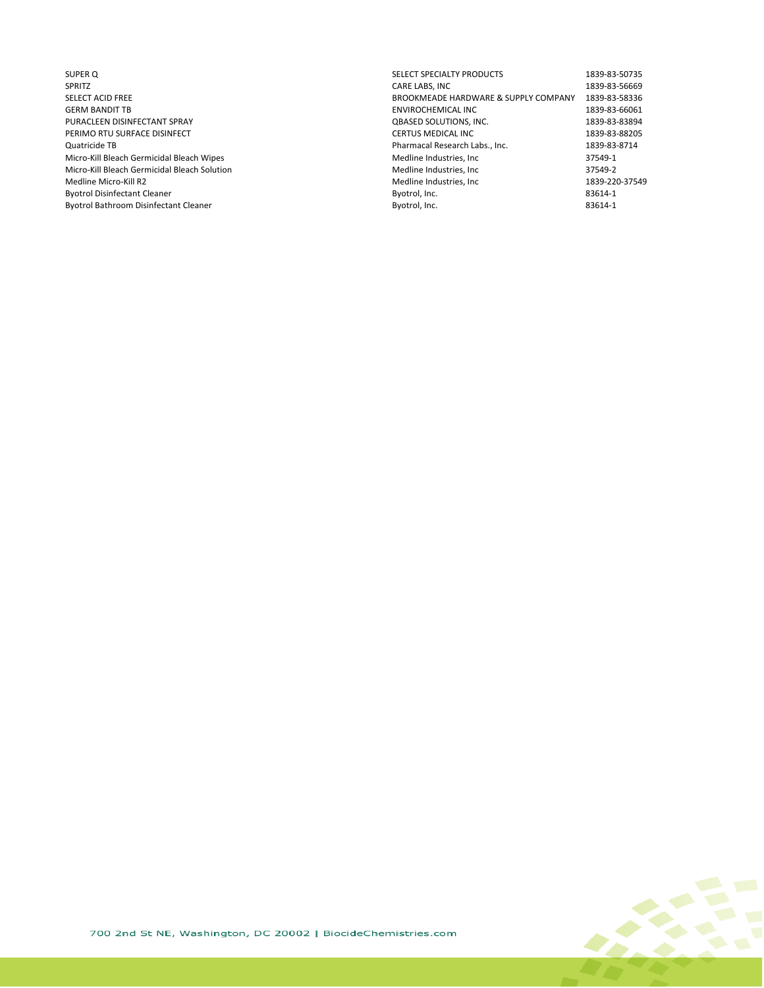- Byotrol Bathroom Disinfectant Cleaner
- SUPER Q SELECT SPECIALTY PRODUCTS 1839-83-50735 SPRITZ CARE LABS, INC 1839-83-56669 SELECT ACID FREE SELECT ACID FREE SELECT ACID FREE BROOK SELECT ACID FREE BROOKMEADE HARDWARE & SUPPLY COMPANY<br>GERM BANDIT TB SAND TREE SERIES AND TREE BROOK SERIES AND TREE SERIES AND TREE SERIES AND TREE SERIES AND TREE ENVIROCHEMICAL INC<br>
QBASED SOLUTIONS, INC.<br>
1839-83-83894 PURACLEEN DISINFECTANT SPRAY QBASED SOLUTIONS, INC. 1839-83-83894 PERIMO RTU SURFACE DISINFECT **EXECUTES IN TERTUS MEDICAL INC**<br>Quatricide TB **CERTUS MEDICAL INC 1839-83-8714**<br>Pharmacal Research Labs., Inc. **1839-83-8714** Quatricide TB Pharmacal Research Labs., Inc. 1839-83-8714 Micro-Kill Bleach Germicidal Bleach Wipes and the State of the Medline Industries, Inc and the Medline Industries, Inc and the STS49-1<br>Micro-Kill Bleach Germicidal Bleach Solution and the State of the Medline Industries, I Micro-Kill Bleach Germicidal Bleach Solution and Medline Industries, Inc 37549-2<br>Medline Micro-Kill R2 1839-220-37549 Medline Industries, Inc 37549-220-37549 Medline Industries, Inc 1839-220<br>Byotrol, Inc. 183614-1 Byotrol Disinfectant Cleaner and States and States and States and States and States and States and Byotrol, Inc. Communist Cleaner and States and Byotrol, Inc. and States and States and States and Byotrol, Inc. and States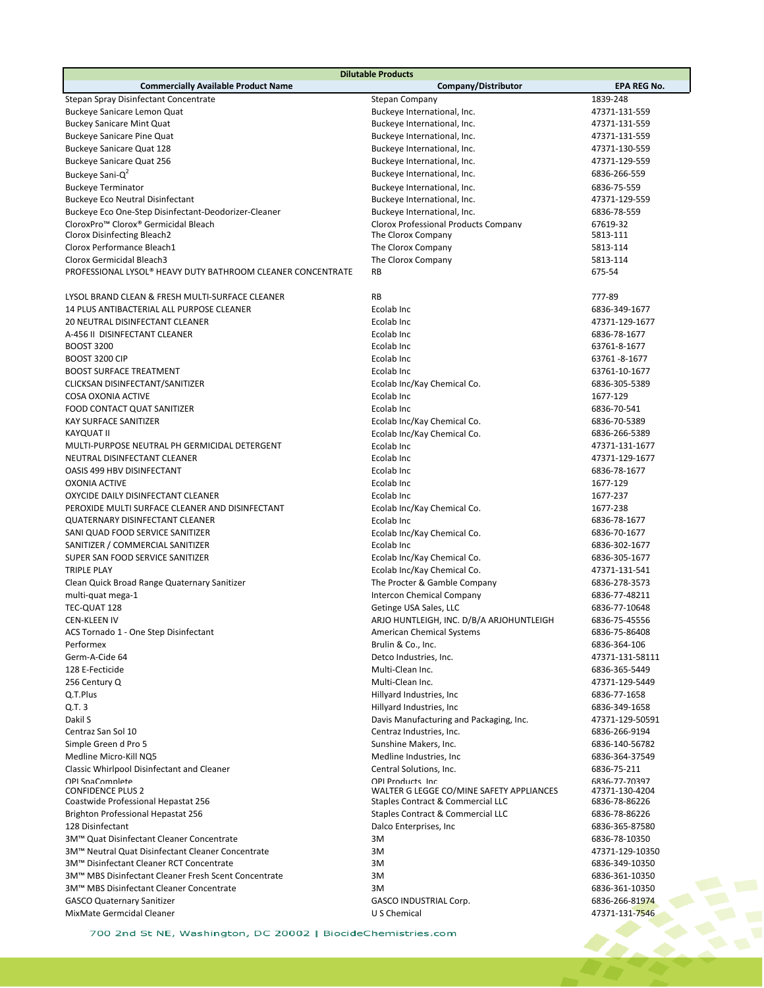| <b>Dilutable Products</b>                                                       |                                                               |                                 |  |  |
|---------------------------------------------------------------------------------|---------------------------------------------------------------|---------------------------------|--|--|
| <b>Commercially Available Product Name</b>                                      | Company/Distributor                                           | <b>EPA REG No.</b>              |  |  |
| Stepan Spray Disinfectant Concentrate                                           | Stepan Company                                                | 1839-248                        |  |  |
| <b>Buckeye Sanicare Lemon Quat</b>                                              | Buckeye International, Inc.                                   | 47371-131-559                   |  |  |
| <b>Buckey Sanicare Mint Quat</b>                                                | Buckeye International, Inc.                                   | 47371-131-559                   |  |  |
| <b>Buckeye Sanicare Pine Quat</b>                                               | Buckeye International, Inc.                                   | 47371-131-559                   |  |  |
| Buckeye Sanicare Quat 128                                                       | Buckeye International, Inc.                                   | 47371-130-559                   |  |  |
| <b>Buckeye Sanicare Quat 256</b>                                                | Buckeye International, Inc.                                   | 47371-129-559                   |  |  |
| Buckeye Sani-Q <sup>2</sup>                                                     | Buckeye International, Inc.                                   | 6836-266-559                    |  |  |
| <b>Buckeye Terminator</b>                                                       | Buckeye International, Inc.                                   | 6836-75-559                     |  |  |
| <b>Buckeye Eco Neutral Disinfectant</b>                                         | Buckeye International, Inc.                                   | 47371-129-559                   |  |  |
|                                                                                 |                                                               |                                 |  |  |
| Buckeye Eco One-Step Disinfectant-Deodorizer-Cleaner                            | Buckeye International, Inc.                                   | 6836-78-559                     |  |  |
| CloroxPro <sup>™</sup> Clorox® Germicidal Bleach<br>Clorox Disinfecting Bleach2 | Clorox Professional Products Company<br>The Clorox Company    | 67619-32<br>5813-111            |  |  |
|                                                                                 |                                                               |                                 |  |  |
| Clorox Performance Bleach1                                                      | The Clorox Company                                            | 5813-114                        |  |  |
| Clorox Germicidal Bleach3                                                       | The Clorox Company                                            | 5813-114                        |  |  |
| PROFESSIONAL LYSOL® HEAVY DUTY BATHROOM CLEANER CONCENTRATE                     | <b>RB</b>                                                     | 675-54                          |  |  |
|                                                                                 |                                                               |                                 |  |  |
| LYSOL BRAND CLEAN & FRESH MULTI-SURFACE CLEANER                                 | <b>RB</b>                                                     | 777-89                          |  |  |
| 14 PLUS ANTIBACTERIAL ALL PURPOSE CLEANER                                       | Ecolab Inc                                                    | 6836-349-1677                   |  |  |
| 20 NEUTRAL DISINFECTANT CLEANER                                                 | Ecolab Inc                                                    | 47371-129-1677                  |  |  |
| A-456 II DISINFECTANT CLEANER                                                   | Ecolab Inc                                                    | 6836-78-1677                    |  |  |
| <b>BOOST 3200</b>                                                               | Ecolab Inc.                                                   | 63761-8-1677                    |  |  |
| <b>BOOST 3200 CIP</b>                                                           | Ecolab Inc                                                    | 63761-8-1677                    |  |  |
| <b>BOOST SURFACE TREATMENT</b>                                                  | Ecolab Inc                                                    | 63761-10-1677                   |  |  |
| CLICKSAN DISINFECTANT/SANITIZER                                                 | Ecolab Inc/Kay Chemical Co.                                   | 6836-305-5389                   |  |  |
| <b>COSA OXONIA ACTIVE</b>                                                       | Ecolab Inc                                                    | 1677-129                        |  |  |
| FOOD CONTACT QUAT SANITIZER                                                     | Ecolab Inc.                                                   | 6836-70-541                     |  |  |
| <b>KAY SURFACE SANITIZER</b>                                                    | Ecolab Inc/Kay Chemical Co.                                   | 6836-70-5389                    |  |  |
| <b>KAYQUAT II</b>                                                               | Ecolab Inc/Kay Chemical Co.                                   | 6836-266-5389                   |  |  |
| MULTI-PURPOSE NEUTRAL PH GERMICIDAL DETERGENT                                   | Ecolab Inc                                                    | 47371-131-1677                  |  |  |
| NEUTRAL DISINFECTANT CLEANER                                                    | Ecolab Inc                                                    | 47371-129-1677                  |  |  |
|                                                                                 |                                                               |                                 |  |  |
| OASIS 499 HBV DISINFECTANT                                                      | Ecolab Inc                                                    | 6836-78-1677                    |  |  |
| <b>OXONIA ACTIVE</b>                                                            | Ecolab Inc                                                    | 1677-129                        |  |  |
| OXYCIDE DAILY DISINFECTANT CLEANER                                              | Ecolab Inc                                                    | 1677-237                        |  |  |
| PEROXIDE MULTI SURFACE CLEANER AND DISINFECTANT                                 | Ecolab Inc/Kay Chemical Co.                                   | 1677-238                        |  |  |
| <b>QUATERNARY DISINFECTANT CLEANER</b>                                          | Ecolab Inc                                                    | 6836-78-1677                    |  |  |
| SANI QUAD FOOD SERVICE SANITIZER                                                | Ecolab Inc/Kay Chemical Co.                                   | 6836-70-1677                    |  |  |
| SANITIZER / COMMERCIAL SANITIZER                                                | Ecolab Inc                                                    | 6836-302-1677                   |  |  |
| SUPER SAN FOOD SERVICE SANITIZER                                                | Ecolab Inc/Kay Chemical Co.                                   | 6836-305-1677                   |  |  |
| <b>TRIPLE PLAY</b>                                                              | Ecolab Inc/Kay Chemical Co.                                   | 47371-131-541                   |  |  |
| Clean Quick Broad Range Quaternary Sanitizer                                    | The Procter & Gamble Company                                  | 6836-278-3573                   |  |  |
| multi-quat mega-1                                                               | <b>Intercon Chemical Company</b>                              | 6836-77-48211                   |  |  |
| TEC-QUAT 128                                                                    | Getinge USA Sales, LLC                                        | 6836-77-10648                   |  |  |
| <b>CEN-KLEEN IV</b>                                                             | ARJO HUNTLEIGH, INC. D/B/A ARJOHUNTLEIGH                      | 6836-75-45556                   |  |  |
| ACS Tornado 1 - One Step Disinfectant                                           | <b>American Chemical Systems</b>                              | 6836-75-86408                   |  |  |
| Performex                                                                       | Brulin & Co., Inc.                                            | 6836-364-106                    |  |  |
| Germ-A-Cide 64                                                                  | Detco Industries, Inc.                                        | 47371-131-58111                 |  |  |
| 128 E-Fecticide                                                                 | Multi-Clean Inc.                                              | 6836-365-5449                   |  |  |
| 256 Century Q                                                                   | Multi-Clean Inc.                                              | 47371-129-5449                  |  |  |
| Q.T.Plus                                                                        | Hillyard Industries, Inc.                                     | 6836-77-1658                    |  |  |
| Q.T. 3                                                                          | Hillyard Industries, Inc.                                     | 6836-349-1658                   |  |  |
| Dakil S                                                                         | Davis Manufacturing and Packaging, Inc.                       | 47371-129-50591                 |  |  |
| Centraz San Sol 10                                                              | Centraz Industries, Inc.                                      | 6836-266-9194                   |  |  |
| Simple Green d Pro 5                                                            | Sunshine Makers, Inc.                                         | 6836-140-56782                  |  |  |
|                                                                                 |                                                               |                                 |  |  |
| Medline Micro-Kill NQ5                                                          | Medline Industries, Inc.                                      | 6836-364-37549                  |  |  |
| <b>Classic Whirlpool Disinfectant and Cleaner</b>                               | Central Solutions, Inc.                                       | 6836-75-211                     |  |  |
| OPI SpaComplete<br><b>CONFIDENCE PLUS 2</b>                                     | OPI Products Inc.<br>WALTER G LEGGE CO/MINE SAFETY APPLIANCES | 6836-77-70397<br>47371-130-4204 |  |  |
| Coastwide Professional Hepastat 256                                             | Staples Contract & Commercial LLC                             | 6836-78-86226                   |  |  |
| <b>Brighton Professional Hepastat 256</b>                                       | Staples Contract & Commercial LLC                             | 6836-78-86226                   |  |  |
| 128 Disinfectant                                                                | Dalco Enterprises, Inc.                                       | 6836-365-87580                  |  |  |
| 3M™ Quat Disinfectant Cleaner Concentrate                                       |                                                               |                                 |  |  |
|                                                                                 | 3M                                                            | 6836-78-10350                   |  |  |
| 3M™ Neutral Quat Disinfectant Cleaner Concentrate                               | 3M                                                            | 47371-129-10350                 |  |  |
| 3M™ Disinfectant Cleaner RCT Concentrate                                        | 3M                                                            | 6836-349-10350                  |  |  |
| 3M™ MBS Disinfectant Cleaner Fresh Scent Concentrate                            | 3M                                                            | 6836-361-10350                  |  |  |
| 3M™ MBS Disinfectant Cleaner Concentrate                                        | 3M                                                            | 6836-361-10350                  |  |  |
| <b>GASCO Quaternary Sanitizer</b>                                               | GASCO INDUSTRIAL Corp.                                        | 6836-266-81974                  |  |  |
| MixMate Germcidal Cleaner                                                       | U S Chemical                                                  | 47371-131-7546                  |  |  |
| 700 2nd St NE, Washington, DC 20002   BiocideChemistries.com                    |                                                               |                                 |  |  |

700 2nd St NE, Washington, DC 20002 | BiocideChemistries.com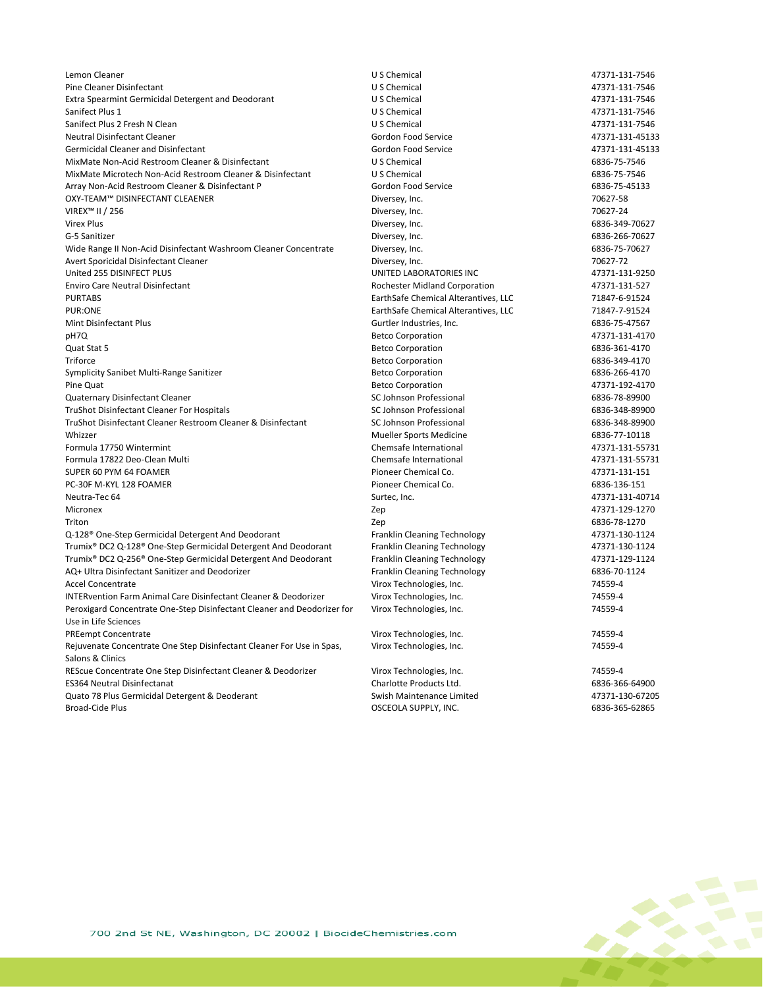Lemon Cleaner U S Chemical 47371-131-7546 Pine Cleaner Disinfectant 1997-131-7546<br>
Extra Spearmint Germicidal Detergent and Deodorant 1997-1201-131-7546<br>
U S Chemical 1997-1201-131-7546 Extra Spearmint Germicidal Detergent and Deodorant US Chemical US Chemical 47371-131-7546<br>U S Chemical 1992 12371-131-7546 Sanifect Plus 1 and 17371-131-7546 and 200 and 200 U S Chemical Article 18th 200 and 200 and 200 and 200 and 20 Sanifect Plus 2 Fresh N Clean Clean Clean Clean Clean Clean Clean Clean Clean Clean Clean Clean Clean Clean Clean Clean Clean Clean Clean Clean Clean Clean Clean Clean Clean Clean Clean Clean Clean Clean Clean Clean Clean Neutral Disinfectant Cleaner (1890) 131-45133<br>
Gordon Food Service 1980 120 131-45133<br>
Gordon Food Service 1980 120 1371-131-45133 Germicidal Cleaner and Disinfectant and Service Gordon Food Service 61 and Service 47371-131-451345<br>MixMate Non-Acid Restroom Cleaner & Disinfectant 40 b Chemical US Chemical MixMate Non-Acid Restroom Cleaner & Disinfectant MixMate Microtech Non-Acid Restroom Cleaner & Disinfectant U S Chemical 6836-75-7546 Array Non-Acid Restroom Cleaner & Disinfectant P Gordon Food Service Gastroice 6836-75-45133<br>
GXY-TEAM™ DISINFECTANT CLEAENER GORDON GORDON BOI DIVERSEY, Inc. OXY-TEAM™ DISINFECTANT CLEAENER<br>VIREX™ II / 256 VIREX™ II / 256  $\blacksquare$  256  $\blacksquare$  20027-24 Virex Plus Diversey, Inc. [6836-349-70627](https://www3.epa.gov/pesticides/chem_search/ppls/006836-00349-20180712.pdf) G-5 Sanitizer Diversey, Inc. [6836-266-70627](https://www3.epa.gov/pesticides/chem_search/ppls/006836-00266-20170504.pdf) Wide Range II Non-Acid Disinfectant Washroom Cleaner Concentrate Diversey, Inc.<br>
20627-72 Provert Sports and Diversey And Diversey. Inc. Avert Sporicidal Disinfectant Cleaner and the South Sports of the Diversey, Inc. The Control of the Control of the Control of the Control of the Control of the Control of the Control of the Control of the Control of the Co UNITED LABORATORIES INC Enviro Care Neutral Disinfectant Rochester Midland Corporation 47371-131-527 PURTABS EarthSafe Chemical Alterantives, LLC 71847-6-91524 PUR:ONE EarthSafe Chemical Alterantives, LLC 71847-7-91524 Gurtler Industries, Inc. pH7Q Betco Corporation 47371-131-4170 Quat Stat 5 **Betco Corporation** 6836-361-4170 Triforce Betco Corporation 6836-349-4170 Symplicity Sanibet Multi-Range Sanitizer and the state of the Sanitizer Betco Corporation 6836-266-4170 Pine Quat **Betco Corporation Betco Corporation 17371-192-4170** Quaternary Disinfectant Cleaner (6836-78-89900)<br>TruShot Disinfectant Cleaner For Hospitals (6836-348-89900) (6836-848-89900) (6836-348-89900<br>Cohnson Professional 6836-848-89900 (6836-348-89900) (6836-348-89900) (6836-348-8 TruShot Disinfectant Cleaner For Hospitals and Sculphus and Sculphus SC Johnson Professional 6836-348-89900<br>TruShot Disinfectant Cleaner Restroom Cleaner & Disinfectant SC Johnson Professional 6836-348-89900 TruShot Disinfectant Cleaner Restroom Cleaner & Disinfectant Whizzer **Mueller Sports Medicine** 6836-77-10118 Formula 17750 Wintermint Chemsafe International 47371-131-55731 Formula 17822 Deo-Clean Multi Chemsafe International 47371-131-55731 SUPER 60 PYM 64 FOAMER Pioneer Chemical Co. 47371-131-151 PC-30F M-KYL 128 FOAMER **PERIODE 2018** Pioneer Chemical Co. 6836-136-1516-1516 Pioneer Chemical Co. Neutra-Tec 64 **Surtec, Inc. 5 and Surtec, Inc.** 5 and Surtec, Inc. 47371-131-40714 Micronex Zep 47371-129-1270 Triton Zep 6836-78-1270 Q-128® One-Step Germicidal Detergent And Deodorant Franklin Cleaning Technology and the Step Germicidal Optergent And Deodorant Franklin Cleaning Technology 47371-130-1124<br>Trumix® DC2 Q-128® One-Step Germicidal Detergent A Trumix® DC2 Q-128® One-Step Germicidal Detergent And Deodorant Trumix® DC2 Q-256® One-Step Germicidal Detergent And Deodorant Franklin Cleaning Technology 47371-129-1124 AQ+ Ultra Disinfectant Sanitizer and Deodorizer Franklin Cleaning Technology 6836-70-1124 Accel Concentrate Virox Technologies, Inc. 74559-4 INTERvention Farm Animal Care Disinfectant Cleaner & Deodorizer Virox Technologies, Inc. 74559-4 Peroxigard Concentrate One-Step Disinfectant Cleaner and Deodorizer for Use in Life Sciences Virox Technologies, Inc. 74559-4 PREempt Concentrate Virox Technologies, Inc. 74559-4 Rejuvenate Concentrate One Step Disinfectant Cleaner For Use in Spas, Salons & Clinics Virox Technologies, Inc. 74559-4 REScue Concentrate One Step Disinfectant Cleaner & Deodorizer Virox Technologies, Inc. 74559-4 ES364 Neutral Disinfectanat Charlotte Products Ltd. 6836-366-64900 Quato 78 Plus Germicidal Detergent & Deoderant Swish Maintenance Limited 47371-130-67205 Broad-Cide Plus 6836-365-62865 (Section 1990) and City of Contract Contract City (MC. 6836-365-62865 (Section 1